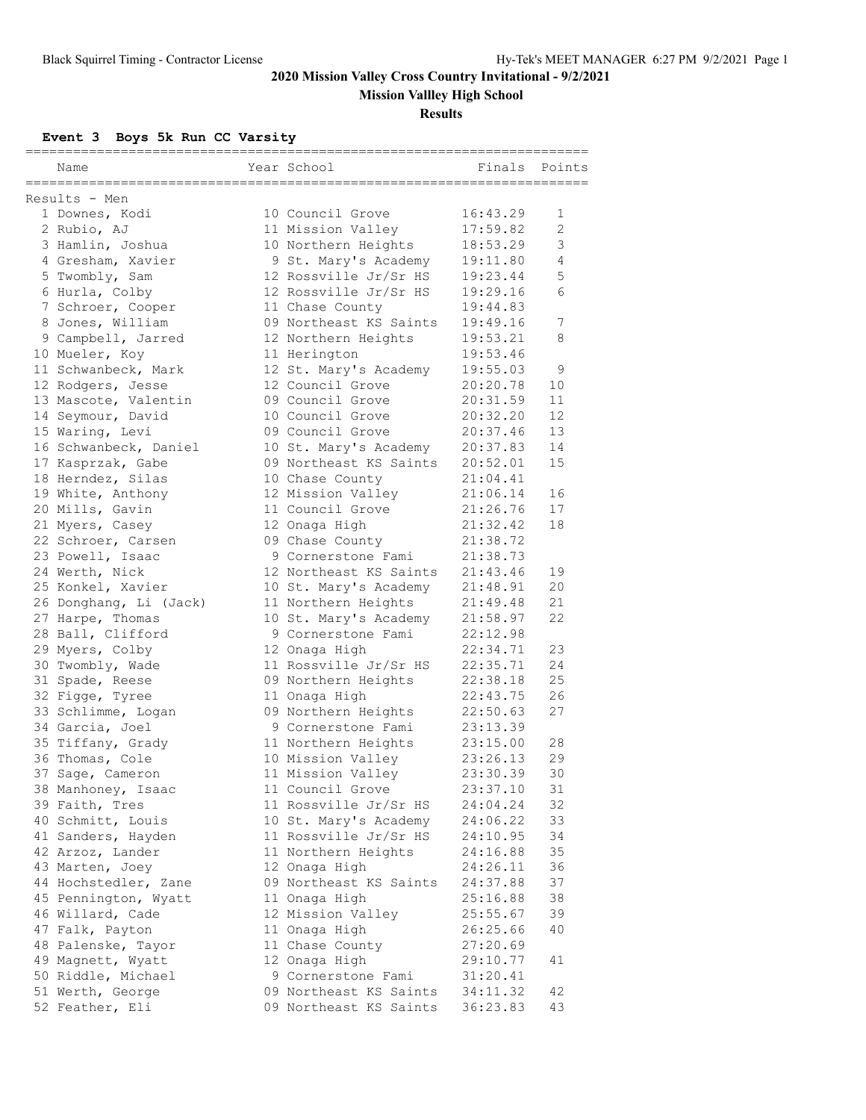**Mission Vallley High School**

#### **Results**

**Event 3 Boys 5k Run CC Varsity**

| Name                   | Year School            | Finals   | Points |
|------------------------|------------------------|----------|--------|
| Results - Men          |                        |          |        |
| 1 Downes, Kodi         | 10 Council Grove       | 16:43.29 | 1      |
| 2 Rubio, AJ            | 11 Mission Valley      | 17:59.82 | 2      |
| 3 Hamlin, Joshua       | 10 Northern Heights    | 18:53.29 | 3      |
| 4 Gresham, Xavier      | 9 St. Mary's Academy   | 19:11.80 | 4      |
| 5 Twombly, Sam         | 12 Rossville Jr/Sr HS  | 19:23.44 | 5      |
| 6 Hurla, Colby         | 12 Rossville Jr/Sr HS  | 19:29.16 | 6      |
| 7 Schroer, Cooper      | 11 Chase County        | 19:44.83 |        |
| 8 Jones, William       | 09 Northeast KS Saints | 19:49.16 | 7      |
| 9 Campbell, Jarred     | 12 Northern Heights    | 19:53.21 | 8      |
| 10 Mueler, Koy         | 11 Herington           | 19:53.46 |        |
| 11 Schwanbeck, Mark    | 12 St. Mary's Academy  | 19:55.03 | 9      |
| 12 Rodgers, Jesse      | 12 Council Grove       | 20:20.78 | 10     |
| 13 Mascote, Valentin   | 09 Council Grove       | 20:31.59 | 11     |
| 14 Seymour, David      | 10 Council Grove       | 20:32.20 | 12     |
| 15 Waring, Levi        | 09 Council Grove       | 20:37.46 | 13     |
| 16 Schwanbeck, Daniel  | 10 St. Mary's Academy  | 20:37.83 | 14     |
| 17 Kasprzak, Gabe      | 09 Northeast KS Saints | 20:52.01 | 15     |
| 18 Herndez, Silas      | 10 Chase County        | 21:04.41 |        |
| 19 White, Anthony      | 12 Mission Valley      | 21:06.14 | 16     |
| 20 Mills, Gavin        | 11 Council Grove       | 21:26.76 | 17     |
| 21 Myers, Casey        | 12 Onaga High          | 21:32.42 | 18     |
| 22 Schroer, Carsen     | 09 Chase County        | 21:38.72 |        |
| 23 Powell, Isaac       | 9 Cornerstone Fami     | 21:38.73 |        |
| 24 Werth, Nick         | 12 Northeast KS Saints | 21:43.46 | 19     |
| 25 Konkel, Xavier      | 10 St. Mary's Academy  | 21:48.91 | 20     |
| 26 Donghang, Li (Jack) | 11 Northern Heights    | 21:49.48 | 21     |
| 27 Harpe, Thomas       | 10 St. Mary's Academy  | 21:58.97 | 22     |
| 28 Ball, Clifford      | 9 Cornerstone Fami     | 22:12.98 |        |
| 29 Myers, Colby        | 12 Onaga High          | 22:34.71 | 23     |
| 30 Twombly, Wade       | 11 Rossville Jr/Sr HS  | 22:35.71 | 24     |
| 31 Spade, Reese        | 09 Northern Heights    | 22:38.18 | 25     |
| 32 Figge, Tyree        | 11 Onaga High          | 22:43.75 | 26     |
| 33 Schlimme, Logan     | 09 Northern Heights    | 22:50.63 | 27     |
| 34 Garcia, Joel        | 9 Cornerstone Fami     | 23:13.39 |        |
| 35 Tiffany, Grady      | 11 Northern Heights    | 23:15.00 | 28     |
| 36 Thomas, Cole        | 10 Mission Valley      | 23:26.13 | 29     |
| 37 Sage, Cameron       | 11 Mission Valley      | 23:30.39 | 30     |
| 38 Manhoney, Isaac     | 11 Council Grove       | 23:37.10 | 31     |
| 39 Faith, Tres         | 11 Rossville Jr/Sr HS  | 24:04.24 | 32     |
| 40 Schmitt, Louis      | 10 St. Mary's Academy  | 24:06.22 | 33     |
| 41 Sanders, Hayden     | 11 Rossville Jr/Sr HS  | 24:10.95 | 34     |
| 42 Arzoz, Lander       | 11 Northern Heights    | 24:16.88 | 35     |
| 43 Marten, Joey        | 12 Onaga High          | 24:26.11 | 36     |
| 44 Hochstedler, Zane   | 09 Northeast KS Saints | 24:37.88 | 37     |
| 45 Pennington, Wyatt   | 11 Onaga High          | 25:16.88 | 38     |
| 46 Willard, Cade       | 12 Mission Valley      | 25:55.67 | 39     |
| 47 Falk, Payton        | 11 Onaga High          | 26:25.66 | 40     |
| 48 Palenske, Tayor     | 11 Chase County        | 27:20.69 |        |
| 49 Magnett, Wyatt      | 12 Onaga High          | 29:10.77 | 41     |
| 50 Riddle, Michael     | 9 Cornerstone Fami     | 31:20.41 |        |
| 51 Werth, George       | 09 Northeast KS Saints | 34:11.32 | 42     |
| 52 Feather, Eli        | 09 Northeast KS Saints | 36:23.83 | 43     |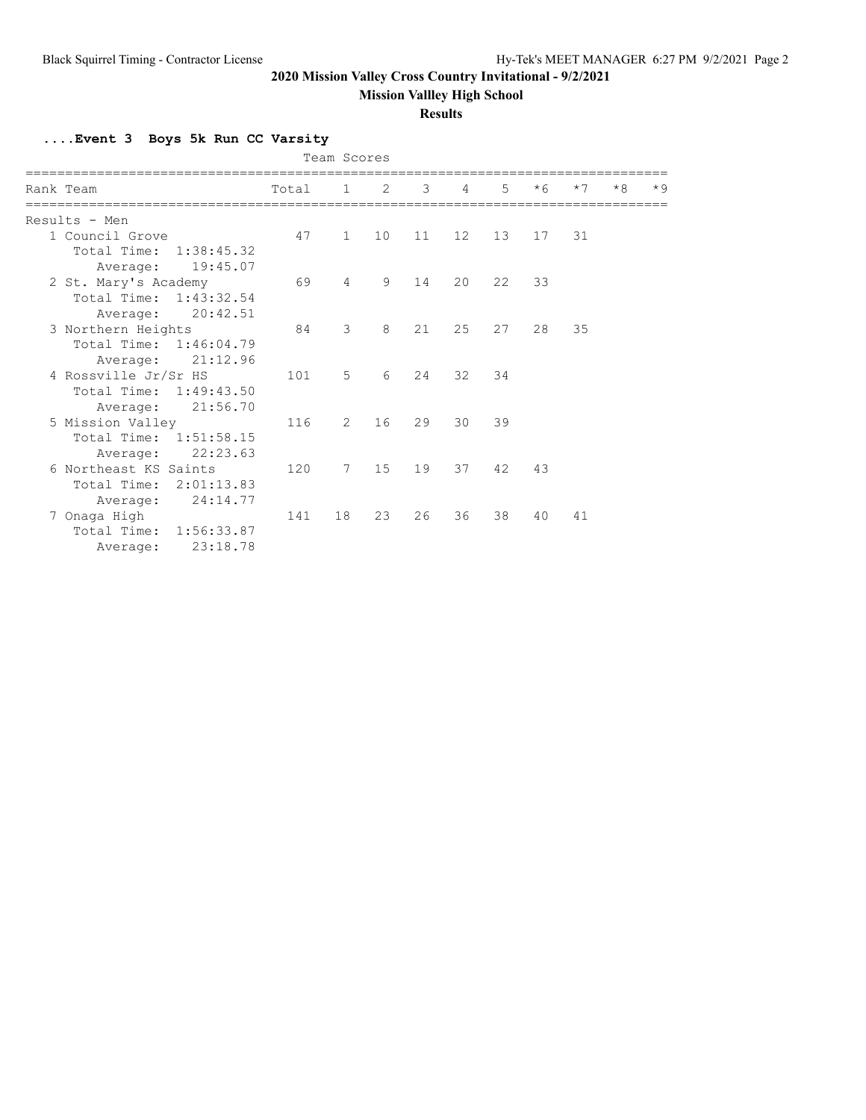**Mission Vallley High School**

#### **Results**

**....Event 3 Boys 5k Run CC Varsity**

| Team Scores            |       |                |    |                     |                |                 |      |      |      |      |
|------------------------|-------|----------------|----|---------------------|----------------|-----------------|------|------|------|------|
|                        |       |                |    |                     |                |                 |      |      |      |      |
| Rank Team              | Total |                |    | $1 \quad 2 \quad 3$ | $\overline{4}$ | $5\overline{)}$ | $*6$ | $*7$ | $*8$ | $*9$ |
|                        |       |                |    |                     |                |                 |      |      |      |      |
| Results - Men          |       |                |    |                     |                |                 |      |      |      |      |
| 1 Council Grove        | 47    | $\mathbf{1}$   | 10 | 11                  | 12             | 13              | 17   | 31   |      |      |
| Total Time: 1:38:45.32 |       |                |    |                     |                |                 |      |      |      |      |
| 19:45.07<br>Average:   |       |                |    |                     |                |                 |      |      |      |      |
| 2 St. Mary's Academy   | 69    | $\overline{4}$ | 9  | 14                  | 20             | 22              | 33   |      |      |      |
| Total Time: 1:43:32.54 |       |                |    |                     |                |                 |      |      |      |      |
| 20:42.51<br>Average:   |       |                |    |                     |                |                 |      |      |      |      |
| 3 Northern Heights     | 84    | 3              | 8  | 21                  | 25             | 27              | 28   | 35   |      |      |
| Total Time: 1:46:04.79 |       |                |    |                     |                |                 |      |      |      |      |
| Average: 21:12.96      |       |                |    |                     |                |                 |      |      |      |      |
| 4 Rossville Jr/Sr HS   | 101   | 5              | 6  | 24                  | 32             | 34              |      |      |      |      |
| Total Time: 1:49:43.50 |       |                |    |                     |                |                 |      |      |      |      |
| 21:56.70<br>Average:   |       |                |    |                     |                |                 |      |      |      |      |
| 5 Mission Valley       | 116   | 2              | 16 | 29                  | 30             | 39              |      |      |      |      |
| Total Time: 1:51:58.15 |       |                |    |                     |                |                 |      |      |      |      |
| 22:23.63<br>Average:   |       |                |    |                     |                |                 |      |      |      |      |
| 6 Northeast KS Saints  | 120   | 7              | 15 | 19                  | 37             | 42              | 43   |      |      |      |
| Total Time: 2:01:13.83 |       |                |    |                     |                |                 |      |      |      |      |
| 24:14.77<br>Average:   |       |                |    |                     |                |                 |      |      |      |      |
| 7 Onaga High           | 141   | 18             | 23 | 26                  | 36             | 38              | 40   | 41   |      |      |
| Total Time: 1:56:33.87 |       |                |    |                     |                |                 |      |      |      |      |
| 23:18.78<br>Average:   |       |                |    |                     |                |                 |      |      |      |      |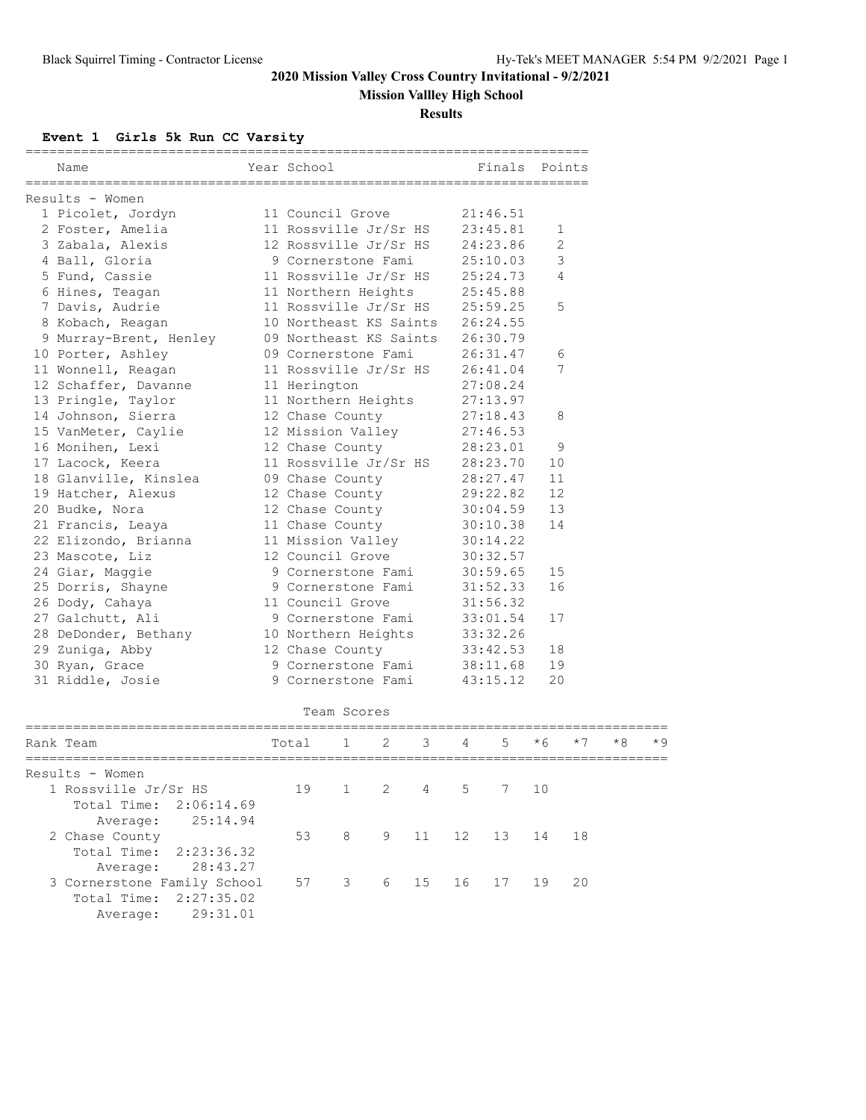### **Mission Vallley High School**

**Results**

#### **Event 1 Girls 5k Run CC Varsity**

| =====================<br>Results - Women<br>1 Picolet, Jordyn<br>11 Council Grove<br>21:46.51<br>2 Foster, Amelia<br>11 Rossville Jr/Sr HS<br>23:45.81<br>1<br>3 Zabala, Alexis<br>12 Rossville Jr/Sr HS<br>24:23.86<br>2<br>3<br>4 Ball, Gloria<br>9 Cornerstone Fami<br>25:10.03<br>5 Fund, Cassie<br>11 Rossville Jr/Sr HS<br>$\overline{4}$<br>25:24.73<br>6 Hines, Teagan<br>11 Northern Heights<br>25:45.88<br>7 Davis, Audrie<br>11 Rossville Jr/Sr HS<br>5<br>25:59.25<br>10 Northeast KS Saints<br>8 Kobach, Reagan<br>26:24.55<br>09 Northeast KS Saints<br>26:30.79<br>9 Murray-Brent, Henley<br>10 Porter, Ashley<br>09 Cornerstone Fami<br>26:31.47<br>6<br>7<br>11 Rossville Jr/Sr HS<br>11 Wonnell, Reagan<br>26:41.04<br>12 Schaffer, Davanne<br>11 Herington<br>27:08.24<br>13 Pringle, Taylor<br>11 Northern Heights<br>27:13.97<br>14 Johnson, Sierra<br>12 Chase County<br>27:18.43<br>8<br>12 Mission Valley<br>15 VanMeter, Caylie<br>27:46.53<br>16 Monihen, Lexi<br>12 Chase County<br>28:23.01<br>9<br>11 Rossville Jr/Sr HS<br>17 Lacock, Keera<br>28:23.70<br>10<br>18 Glanville, Kinslea<br>11<br>09 Chase County<br>28:27.47<br>19 Hatcher, Alexus<br>29:22.82<br>12<br>12 Chase County<br>20 Budke, Nora<br>13<br>12 Chase County<br>30:04.59<br>21 Francis, Leaya<br>11 Chase County<br>30:10.38<br>14<br>22 Elizondo, Brianna<br>11 Mission Valley<br>30:14.22<br>12 Council Grove<br>23 Mascote, Liz<br>30:32.57<br>24 Giar, Maggie<br>9 Cornerstone Fami<br>30:59.65<br>15<br>25 Dorris, Shayne<br>31:52.33<br>16<br>9 Cornerstone Fami<br>11 Council Grove<br>26 Dody, Cahaya<br>31:56.32<br>27 Galchutt, Ali<br>9 Cornerstone Fami<br>33:01.54<br>17<br>33:32.26<br>28 DeDonder, Bethany<br>10 Northern Heights<br>29 Zuniga, Abby<br>33:42.53<br>18<br>12 Chase County<br>30 Ryan, Grace<br>9 Cornerstone Fami<br>38:11.68<br>19<br>20<br>31 Riddle, Josie<br>9 Cornerstone Fami<br>43:15.12<br>Team Scores<br>2<br>3<br>$*6$<br>$*8$<br>5<br>$*7$<br>1<br>4<br>Rank Team<br>Total<br>.===============<br>Results - Women<br>19<br>$\overline{2}$<br>1 Rossville Jr/Sr HS<br>$\mathbf{1}$<br>4<br>5<br>7<br>10<br>Total Time: 2:06:14.69<br>25:14.94<br>Average:<br>2 Chase County | Name | Year School |   |   |    |    | Finals | Points |    |      |
|-------------------------------------------------------------------------------------------------------------------------------------------------------------------------------------------------------------------------------------------------------------------------------------------------------------------------------------------------------------------------------------------------------------------------------------------------------------------------------------------------------------------------------------------------------------------------------------------------------------------------------------------------------------------------------------------------------------------------------------------------------------------------------------------------------------------------------------------------------------------------------------------------------------------------------------------------------------------------------------------------------------------------------------------------------------------------------------------------------------------------------------------------------------------------------------------------------------------------------------------------------------------------------------------------------------------------------------------------------------------------------------------------------------------------------------------------------------------------------------------------------------------------------------------------------------------------------------------------------------------------------------------------------------------------------------------------------------------------------------------------------------------------------------------------------------------------------------------------------------------------------------------------------------------------------------------------------------------------------------------------------------------------------------------------------------------------------------------------------------------------------------------------------------------------------------------------------------------------|------|-------------|---|---|----|----|--------|--------|----|------|
|                                                                                                                                                                                                                                                                                                                                                                                                                                                                                                                                                                                                                                                                                                                                                                                                                                                                                                                                                                                                                                                                                                                                                                                                                                                                                                                                                                                                                                                                                                                                                                                                                                                                                                                                                                                                                                                                                                                                                                                                                                                                                                                                                                                                                         |      |             |   |   |    |    |        |        |    |      |
|                                                                                                                                                                                                                                                                                                                                                                                                                                                                                                                                                                                                                                                                                                                                                                                                                                                                                                                                                                                                                                                                                                                                                                                                                                                                                                                                                                                                                                                                                                                                                                                                                                                                                                                                                                                                                                                                                                                                                                                                                                                                                                                                                                                                                         |      |             |   |   |    |    |        |        |    |      |
|                                                                                                                                                                                                                                                                                                                                                                                                                                                                                                                                                                                                                                                                                                                                                                                                                                                                                                                                                                                                                                                                                                                                                                                                                                                                                                                                                                                                                                                                                                                                                                                                                                                                                                                                                                                                                                                                                                                                                                                                                                                                                                                                                                                                                         |      |             |   |   |    |    |        |        |    |      |
|                                                                                                                                                                                                                                                                                                                                                                                                                                                                                                                                                                                                                                                                                                                                                                                                                                                                                                                                                                                                                                                                                                                                                                                                                                                                                                                                                                                                                                                                                                                                                                                                                                                                                                                                                                                                                                                                                                                                                                                                                                                                                                                                                                                                                         |      |             |   |   |    |    |        |        |    |      |
|                                                                                                                                                                                                                                                                                                                                                                                                                                                                                                                                                                                                                                                                                                                                                                                                                                                                                                                                                                                                                                                                                                                                                                                                                                                                                                                                                                                                                                                                                                                                                                                                                                                                                                                                                                                                                                                                                                                                                                                                                                                                                                                                                                                                                         |      |             |   |   |    |    |        |        |    |      |
|                                                                                                                                                                                                                                                                                                                                                                                                                                                                                                                                                                                                                                                                                                                                                                                                                                                                                                                                                                                                                                                                                                                                                                                                                                                                                                                                                                                                                                                                                                                                                                                                                                                                                                                                                                                                                                                                                                                                                                                                                                                                                                                                                                                                                         |      |             |   |   |    |    |        |        |    |      |
|                                                                                                                                                                                                                                                                                                                                                                                                                                                                                                                                                                                                                                                                                                                                                                                                                                                                                                                                                                                                                                                                                                                                                                                                                                                                                                                                                                                                                                                                                                                                                                                                                                                                                                                                                                                                                                                                                                                                                                                                                                                                                                                                                                                                                         |      |             |   |   |    |    |        |        |    |      |
|                                                                                                                                                                                                                                                                                                                                                                                                                                                                                                                                                                                                                                                                                                                                                                                                                                                                                                                                                                                                                                                                                                                                                                                                                                                                                                                                                                                                                                                                                                                                                                                                                                                                                                                                                                                                                                                                                                                                                                                                                                                                                                                                                                                                                         |      |             |   |   |    |    |        |        |    |      |
|                                                                                                                                                                                                                                                                                                                                                                                                                                                                                                                                                                                                                                                                                                                                                                                                                                                                                                                                                                                                                                                                                                                                                                                                                                                                                                                                                                                                                                                                                                                                                                                                                                                                                                                                                                                                                                                                                                                                                                                                                                                                                                                                                                                                                         |      |             |   |   |    |    |        |        |    |      |
|                                                                                                                                                                                                                                                                                                                                                                                                                                                                                                                                                                                                                                                                                                                                                                                                                                                                                                                                                                                                                                                                                                                                                                                                                                                                                                                                                                                                                                                                                                                                                                                                                                                                                                                                                                                                                                                                                                                                                                                                                                                                                                                                                                                                                         |      |             |   |   |    |    |        |        |    |      |
|                                                                                                                                                                                                                                                                                                                                                                                                                                                                                                                                                                                                                                                                                                                                                                                                                                                                                                                                                                                                                                                                                                                                                                                                                                                                                                                                                                                                                                                                                                                                                                                                                                                                                                                                                                                                                                                                                                                                                                                                                                                                                                                                                                                                                         |      |             |   |   |    |    |        |        |    |      |
|                                                                                                                                                                                                                                                                                                                                                                                                                                                                                                                                                                                                                                                                                                                                                                                                                                                                                                                                                                                                                                                                                                                                                                                                                                                                                                                                                                                                                                                                                                                                                                                                                                                                                                                                                                                                                                                                                                                                                                                                                                                                                                                                                                                                                         |      |             |   |   |    |    |        |        |    |      |
|                                                                                                                                                                                                                                                                                                                                                                                                                                                                                                                                                                                                                                                                                                                                                                                                                                                                                                                                                                                                                                                                                                                                                                                                                                                                                                                                                                                                                                                                                                                                                                                                                                                                                                                                                                                                                                                                                                                                                                                                                                                                                                                                                                                                                         |      |             |   |   |    |    |        |        |    |      |
|                                                                                                                                                                                                                                                                                                                                                                                                                                                                                                                                                                                                                                                                                                                                                                                                                                                                                                                                                                                                                                                                                                                                                                                                                                                                                                                                                                                                                                                                                                                                                                                                                                                                                                                                                                                                                                                                                                                                                                                                                                                                                                                                                                                                                         |      |             |   |   |    |    |        |        |    |      |
|                                                                                                                                                                                                                                                                                                                                                                                                                                                                                                                                                                                                                                                                                                                                                                                                                                                                                                                                                                                                                                                                                                                                                                                                                                                                                                                                                                                                                                                                                                                                                                                                                                                                                                                                                                                                                                                                                                                                                                                                                                                                                                                                                                                                                         |      |             |   |   |    |    |        |        |    |      |
|                                                                                                                                                                                                                                                                                                                                                                                                                                                                                                                                                                                                                                                                                                                                                                                                                                                                                                                                                                                                                                                                                                                                                                                                                                                                                                                                                                                                                                                                                                                                                                                                                                                                                                                                                                                                                                                                                                                                                                                                                                                                                                                                                                                                                         |      |             |   |   |    |    |        |        |    |      |
|                                                                                                                                                                                                                                                                                                                                                                                                                                                                                                                                                                                                                                                                                                                                                                                                                                                                                                                                                                                                                                                                                                                                                                                                                                                                                                                                                                                                                                                                                                                                                                                                                                                                                                                                                                                                                                                                                                                                                                                                                                                                                                                                                                                                                         |      |             |   |   |    |    |        |        |    |      |
|                                                                                                                                                                                                                                                                                                                                                                                                                                                                                                                                                                                                                                                                                                                                                                                                                                                                                                                                                                                                                                                                                                                                                                                                                                                                                                                                                                                                                                                                                                                                                                                                                                                                                                                                                                                                                                                                                                                                                                                                                                                                                                                                                                                                                         |      |             |   |   |    |    |        |        |    |      |
|                                                                                                                                                                                                                                                                                                                                                                                                                                                                                                                                                                                                                                                                                                                                                                                                                                                                                                                                                                                                                                                                                                                                                                                                                                                                                                                                                                                                                                                                                                                                                                                                                                                                                                                                                                                                                                                                                                                                                                                                                                                                                                                                                                                                                         |      |             |   |   |    |    |        |        |    |      |
|                                                                                                                                                                                                                                                                                                                                                                                                                                                                                                                                                                                                                                                                                                                                                                                                                                                                                                                                                                                                                                                                                                                                                                                                                                                                                                                                                                                                                                                                                                                                                                                                                                                                                                                                                                                                                                                                                                                                                                                                                                                                                                                                                                                                                         |      |             |   |   |    |    |        |        |    |      |
|                                                                                                                                                                                                                                                                                                                                                                                                                                                                                                                                                                                                                                                                                                                                                                                                                                                                                                                                                                                                                                                                                                                                                                                                                                                                                                                                                                                                                                                                                                                                                                                                                                                                                                                                                                                                                                                                                                                                                                                                                                                                                                                                                                                                                         |      |             |   |   |    |    |        |        |    |      |
|                                                                                                                                                                                                                                                                                                                                                                                                                                                                                                                                                                                                                                                                                                                                                                                                                                                                                                                                                                                                                                                                                                                                                                                                                                                                                                                                                                                                                                                                                                                                                                                                                                                                                                                                                                                                                                                                                                                                                                                                                                                                                                                                                                                                                         |      |             |   |   |    |    |        |        |    |      |
|                                                                                                                                                                                                                                                                                                                                                                                                                                                                                                                                                                                                                                                                                                                                                                                                                                                                                                                                                                                                                                                                                                                                                                                                                                                                                                                                                                                                                                                                                                                                                                                                                                                                                                                                                                                                                                                                                                                                                                                                                                                                                                                                                                                                                         |      |             |   |   |    |    |        |        |    |      |
|                                                                                                                                                                                                                                                                                                                                                                                                                                                                                                                                                                                                                                                                                                                                                                                                                                                                                                                                                                                                                                                                                                                                                                                                                                                                                                                                                                                                                                                                                                                                                                                                                                                                                                                                                                                                                                                                                                                                                                                                                                                                                                                                                                                                                         |      |             |   |   |    |    |        |        |    |      |
|                                                                                                                                                                                                                                                                                                                                                                                                                                                                                                                                                                                                                                                                                                                                                                                                                                                                                                                                                                                                                                                                                                                                                                                                                                                                                                                                                                                                                                                                                                                                                                                                                                                                                                                                                                                                                                                                                                                                                                                                                                                                                                                                                                                                                         |      |             |   |   |    |    |        |        |    |      |
|                                                                                                                                                                                                                                                                                                                                                                                                                                                                                                                                                                                                                                                                                                                                                                                                                                                                                                                                                                                                                                                                                                                                                                                                                                                                                                                                                                                                                                                                                                                                                                                                                                                                                                                                                                                                                                                                                                                                                                                                                                                                                                                                                                                                                         |      |             |   |   |    |    |        |        |    |      |
|                                                                                                                                                                                                                                                                                                                                                                                                                                                                                                                                                                                                                                                                                                                                                                                                                                                                                                                                                                                                                                                                                                                                                                                                                                                                                                                                                                                                                                                                                                                                                                                                                                                                                                                                                                                                                                                                                                                                                                                                                                                                                                                                                                                                                         |      |             |   |   |    |    |        |        |    |      |
|                                                                                                                                                                                                                                                                                                                                                                                                                                                                                                                                                                                                                                                                                                                                                                                                                                                                                                                                                                                                                                                                                                                                                                                                                                                                                                                                                                                                                                                                                                                                                                                                                                                                                                                                                                                                                                                                                                                                                                                                                                                                                                                                                                                                                         |      |             |   |   |    |    |        |        |    |      |
|                                                                                                                                                                                                                                                                                                                                                                                                                                                                                                                                                                                                                                                                                                                                                                                                                                                                                                                                                                                                                                                                                                                                                                                                                                                                                                                                                                                                                                                                                                                                                                                                                                                                                                                                                                                                                                                                                                                                                                                                                                                                                                                                                                                                                         |      |             |   |   |    |    |        |        |    |      |
|                                                                                                                                                                                                                                                                                                                                                                                                                                                                                                                                                                                                                                                                                                                                                                                                                                                                                                                                                                                                                                                                                                                                                                                                                                                                                                                                                                                                                                                                                                                                                                                                                                                                                                                                                                                                                                                                                                                                                                                                                                                                                                                                                                                                                         |      |             |   |   |    |    |        |        |    |      |
|                                                                                                                                                                                                                                                                                                                                                                                                                                                                                                                                                                                                                                                                                                                                                                                                                                                                                                                                                                                                                                                                                                                                                                                                                                                                                                                                                                                                                                                                                                                                                                                                                                                                                                                                                                                                                                                                                                                                                                                                                                                                                                                                                                                                                         |      |             |   |   |    |    |        |        |    |      |
|                                                                                                                                                                                                                                                                                                                                                                                                                                                                                                                                                                                                                                                                                                                                                                                                                                                                                                                                                                                                                                                                                                                                                                                                                                                                                                                                                                                                                                                                                                                                                                                                                                                                                                                                                                                                                                                                                                                                                                                                                                                                                                                                                                                                                         |      |             |   |   |    |    |        |        |    |      |
|                                                                                                                                                                                                                                                                                                                                                                                                                                                                                                                                                                                                                                                                                                                                                                                                                                                                                                                                                                                                                                                                                                                                                                                                                                                                                                                                                                                                                                                                                                                                                                                                                                                                                                                                                                                                                                                                                                                                                                                                                                                                                                                                                                                                                         |      |             |   |   |    |    |        |        |    |      |
|                                                                                                                                                                                                                                                                                                                                                                                                                                                                                                                                                                                                                                                                                                                                                                                                                                                                                                                                                                                                                                                                                                                                                                                                                                                                                                                                                                                                                                                                                                                                                                                                                                                                                                                                                                                                                                                                                                                                                                                                                                                                                                                                                                                                                         |      |             |   |   |    |    |        |        |    | $*9$ |
|                                                                                                                                                                                                                                                                                                                                                                                                                                                                                                                                                                                                                                                                                                                                                                                                                                                                                                                                                                                                                                                                                                                                                                                                                                                                                                                                                                                                                                                                                                                                                                                                                                                                                                                                                                                                                                                                                                                                                                                                                                                                                                                                                                                                                         |      |             |   |   |    |    |        |        |    |      |
|                                                                                                                                                                                                                                                                                                                                                                                                                                                                                                                                                                                                                                                                                                                                                                                                                                                                                                                                                                                                                                                                                                                                                                                                                                                                                                                                                                                                                                                                                                                                                                                                                                                                                                                                                                                                                                                                                                                                                                                                                                                                                                                                                                                                                         |      |             |   |   |    |    |        |        |    |      |
|                                                                                                                                                                                                                                                                                                                                                                                                                                                                                                                                                                                                                                                                                                                                                                                                                                                                                                                                                                                                                                                                                                                                                                                                                                                                                                                                                                                                                                                                                                                                                                                                                                                                                                                                                                                                                                                                                                                                                                                                                                                                                                                                                                                                                         |      | 53          | 8 | 9 | 11 | 12 | 13     | 14     | 18 |      |

 Total Time: 2:23:36.32 Average: 28:43.27 3 Cornerstone Family School 57 3 6 15 16 17 19 20 Total Time: 2:27:35.02

Average: 29:31.01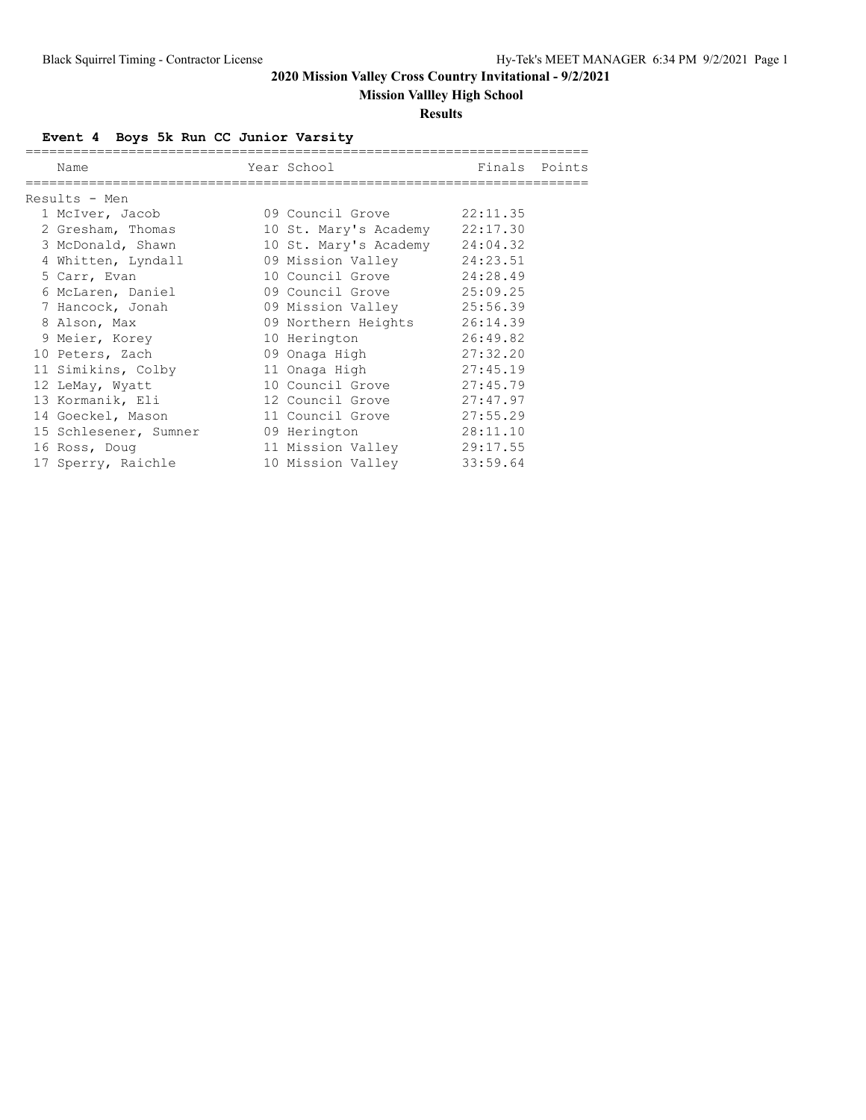# **Mission Vallley High School**

#### **Results**

# **Event 4 Boys 5k Run CC Junior Varsity**

| Name                  | Year School States of the School | Finals Points |  |
|-----------------------|----------------------------------|---------------|--|
|                       |                                  |               |  |
| Results - Men         |                                  |               |  |
| 1 McIver, Jacob       | 09 Council Grove                 | 22:11.35      |  |
| 2 Gresham, Thomas     | 10 St. Mary's Academy            | 22:17.30      |  |
| 3 McDonald, Shawn     | 10 St. Mary's Academy            | 24:04.32      |  |
| 4 Whitten, Lyndall    | 09 Mission Valley                | 24:23.51      |  |
| 5 Carr, Evan          | 10 Council Grove                 | 24:28.49      |  |
| 6 McLaren, Daniel     | 09 Council Grove                 | 25:09.25      |  |
| 7 Hancock, Jonah      | 09 Mission Valley                | 25:56.39      |  |
| 8 Alson, Max          | 09 Northern Heights              | 26:14.39      |  |
| 9 Meier, Korey        | 10 Herington                     | 26:49.82      |  |
| 10 Peters, Zach       | 09 Onaga High                    | 27:32.20      |  |
| 11 Simikins, Colby    | 11 Onaga High                    | 27:45.19      |  |
| 12 LeMay, Wyatt       | 10 Council Grove                 | 27:45.79      |  |
| 13 Kormanik, Eli      | 12 Council Grove                 | 27:47.97      |  |
| 14 Goeckel, Mason     | 11 Council Grove                 | 27:55.29      |  |
| 15 Schlesener, Sumner | 09 Herington                     | 28:11.10      |  |
| 16 Ross, Doug         | 11 Mission Valley                | 29:17.55      |  |
| 17 Sperry, Raichle    | 10 Mission Valley                | 33:59.64      |  |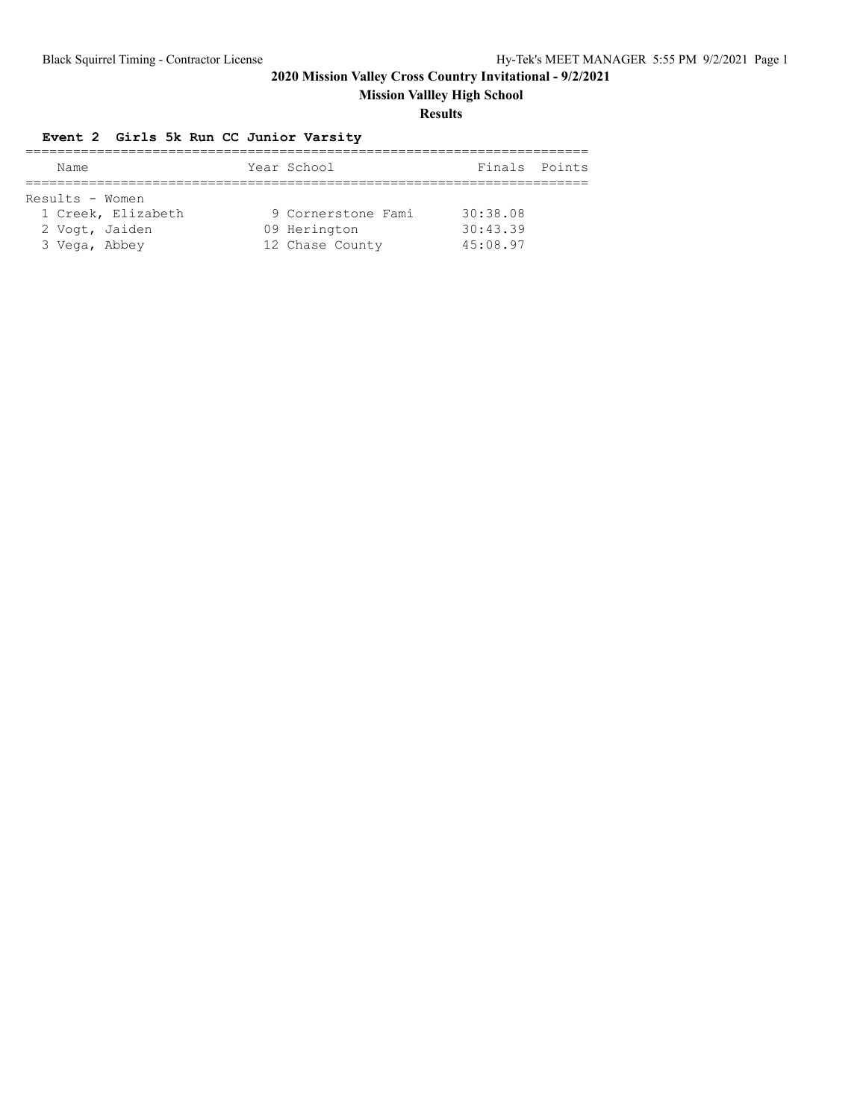**Mission Vallley High School**

#### **Results**

### **Event 2 Girls 5k Run CC Junior Varsity**

| Name            |                    | Year School        | Finals Points |  |
|-----------------|--------------------|--------------------|---------------|--|
|                 |                    |                    |               |  |
| Results - Women |                    |                    |               |  |
|                 | 1 Creek, Elizabeth | 9 Cornerstone Fami | 30:38.08      |  |
| 2 Vogt, Jaiden  |                    | 09 Herington       | 30:43.39      |  |
| 3 Vega, Abbey   |                    | 12 Chase County    | 45:08.97      |  |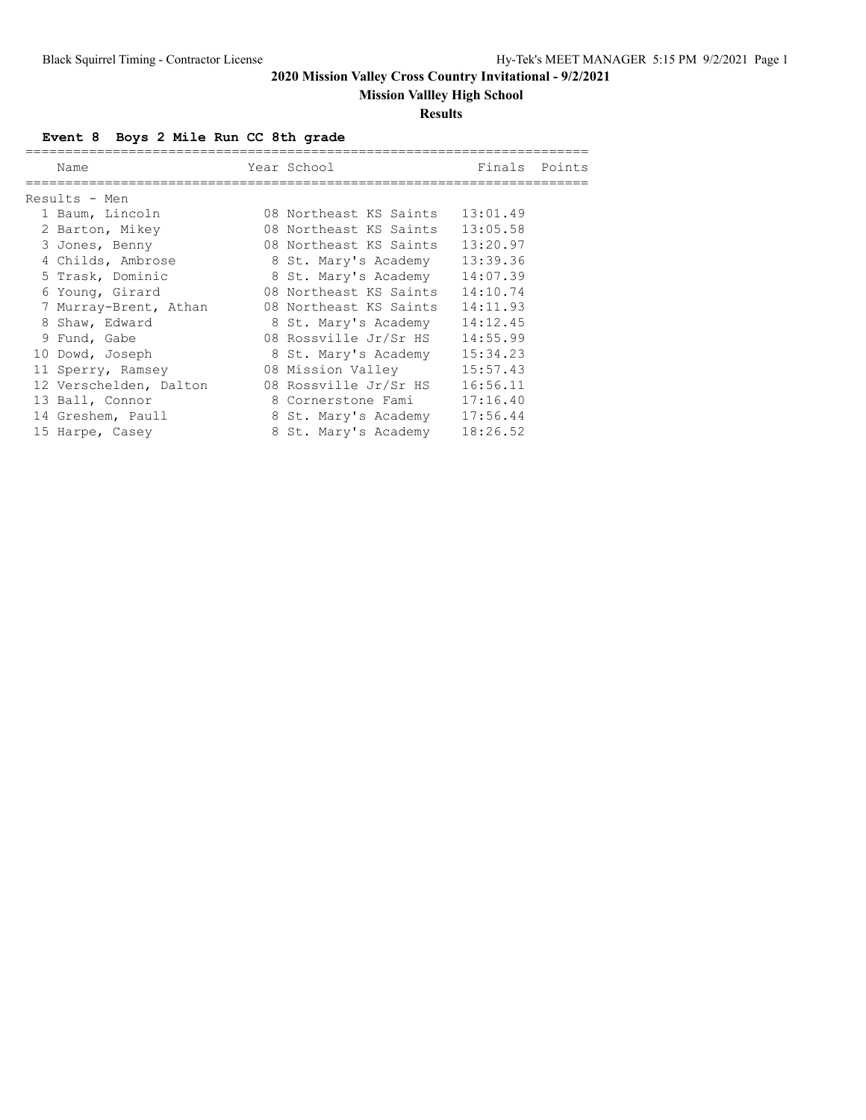# **Mission Vallley High School**

#### **Results**

**Event 8 Boys 2 Mile Run CC 8th grade**

| Name                   | Year School            | Finals   | Points |
|------------------------|------------------------|----------|--------|
| Results - Men          |                        |          |        |
| 1 Baum, Lincoln        | 08 Northeast KS Saints | 13:01.49 |        |
| 2 Barton, Mikey        | 08 Northeast KS Saints | 13:05.58 |        |
| 3 Jones, Benny         | 08 Northeast KS Saints | 13:20.97 |        |
| 4 Childs, Ambrose      | 8 St. Mary's Academy   | 13:39.36 |        |
| 5 Trask, Dominic       | 8 St. Mary's Academy   | 14:07.39 |        |
| 6 Young, Girard        | 08 Northeast KS Saints | 14:10.74 |        |
| 7 Murray-Brent, Athan  | 08 Northeast KS Saints | 14:11.93 |        |
| 8 Shaw, Edward         | 8 St. Mary's Academy   | 14:12.45 |        |
| 9 Fund, Gabe           | 08 Rossville Jr/Sr HS  | 14:55.99 |        |
| 10 Dowd, Joseph        | 8 St. Mary's Academy   | 15:34.23 |        |
| 11 Sperry, Ramsey      | 08 Mission Valley      | 15:57.43 |        |
| 12 Verschelden, Dalton | 08 Rossville Jr/Sr HS  | 16:56.11 |        |
| 13 Ball, Connor        | 8 Cornerstone Fami     | 17:16.40 |        |
| 14 Greshem, Paull      | 8 St. Mary's Academy   | 17:56.44 |        |
| 15 Harpe, Casey        | 8 St. Mary's Academy   | 18:26.52 |        |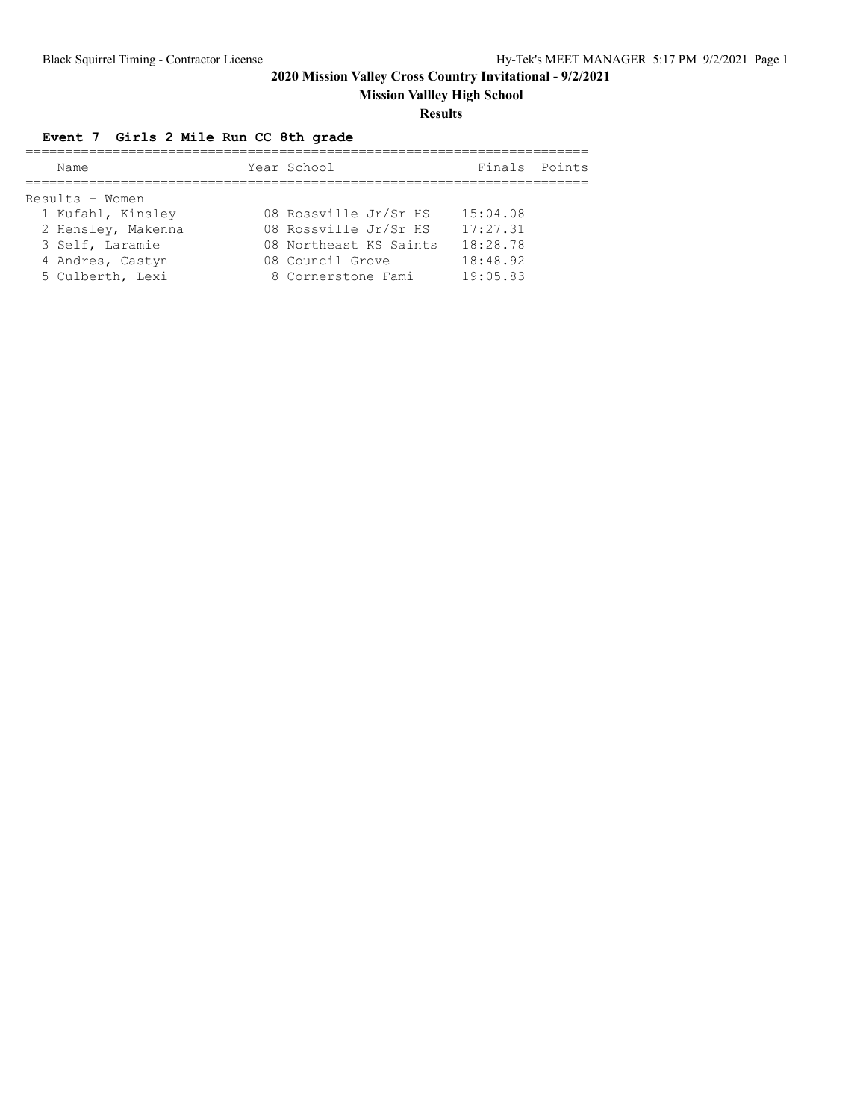**Mission Vallley High School**

#### **Results**

# **Event 7 Girls 2 Mile Run CC 8th grade**

| Name               | Year School            | Finals   | Points |
|--------------------|------------------------|----------|--------|
|                    |                        |          |        |
| Results - Women    |                        |          |        |
| 1 Kufahl, Kinsley  | 08 Rossville Jr/Sr HS  | 15:04.08 |        |
| 2 Hensley, Makenna | 08 Rossville Jr/Sr HS  | 17:27.31 |        |
| 3 Self, Laramie    | 08 Northeast KS Saints | 18:28.78 |        |
| 4 Andres, Castyn   | 08 Council Grove       | 18:48.92 |        |
| 5 Culberth, Lexi   | 8 Cornerstone Fami     | 19:05.83 |        |
|                    |                        |          |        |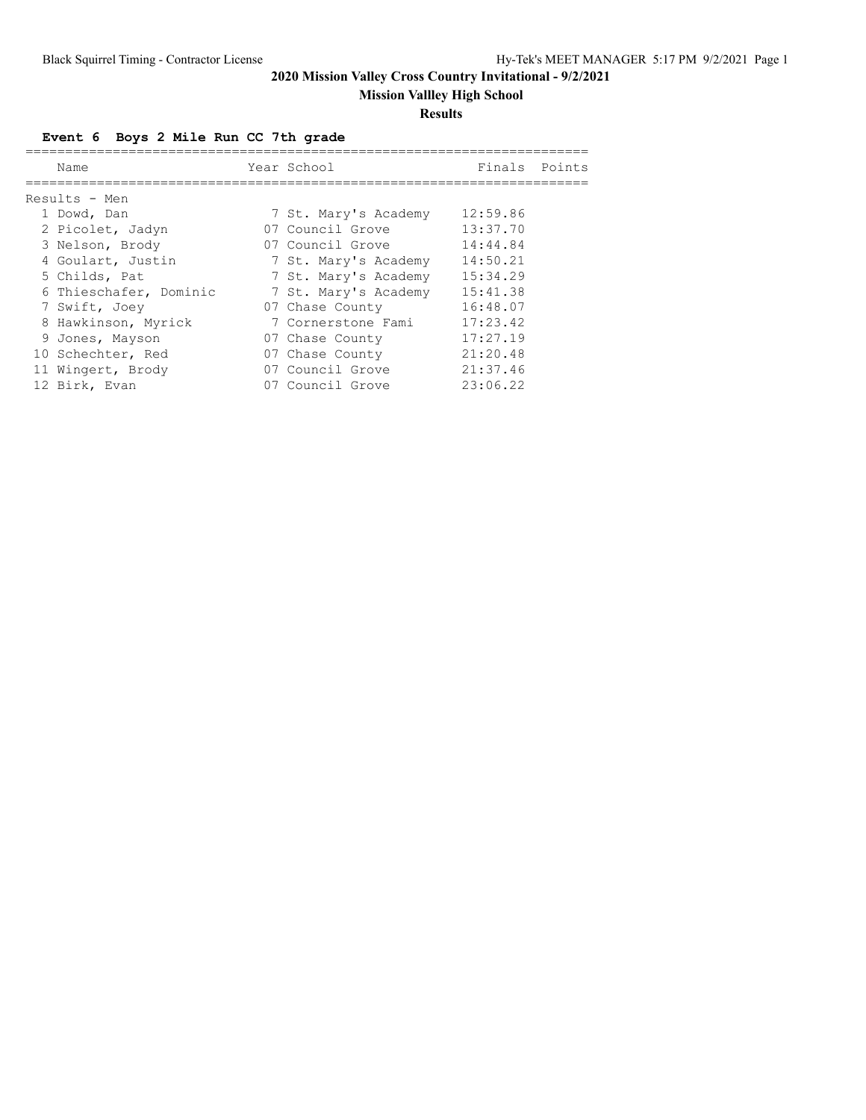# **Mission Vallley High School**

#### **Results**

# **Event 6 Boys 2 Mile Run CC 7th grade**

| Name                   | Year School          | Finals Points |  |
|------------------------|----------------------|---------------|--|
|                        |                      |               |  |
| Results - Men          |                      |               |  |
| 1 Dowd, Dan            | 7 St. Mary's Academy | 12:59.86      |  |
| 2 Picolet, Jadyn       | 07 Council Grove     | 13:37.70      |  |
| 3 Nelson, Brody        | 07 Council Grove     | 14:44.84      |  |
| 4 Goulart, Justin      | 7 St. Mary's Academy | 14:50.21      |  |
| 5 Childs, Pat          | 7 St. Mary's Academy | 15:34.29      |  |
| 6 Thieschafer, Dominic | 7 St. Mary's Academy | 15:41.38      |  |
| 7 Swift, Joev          | 07 Chase County      | 16:48.07      |  |
| 8 Hawkinson, Myrick    | 7 Cornerstone Fami   | 17:23.42      |  |
| 9 Jones, Mayson        | 07 Chase County      | 17:27.19      |  |
| 10 Schechter, Red      | 07 Chase County      | 21:20.48      |  |
| 11 Wingert, Brody      | 07 Council Grove     | 21:37.46      |  |
| 12 Birk, Evan          | 07 Council Grove     | 23:06.22      |  |